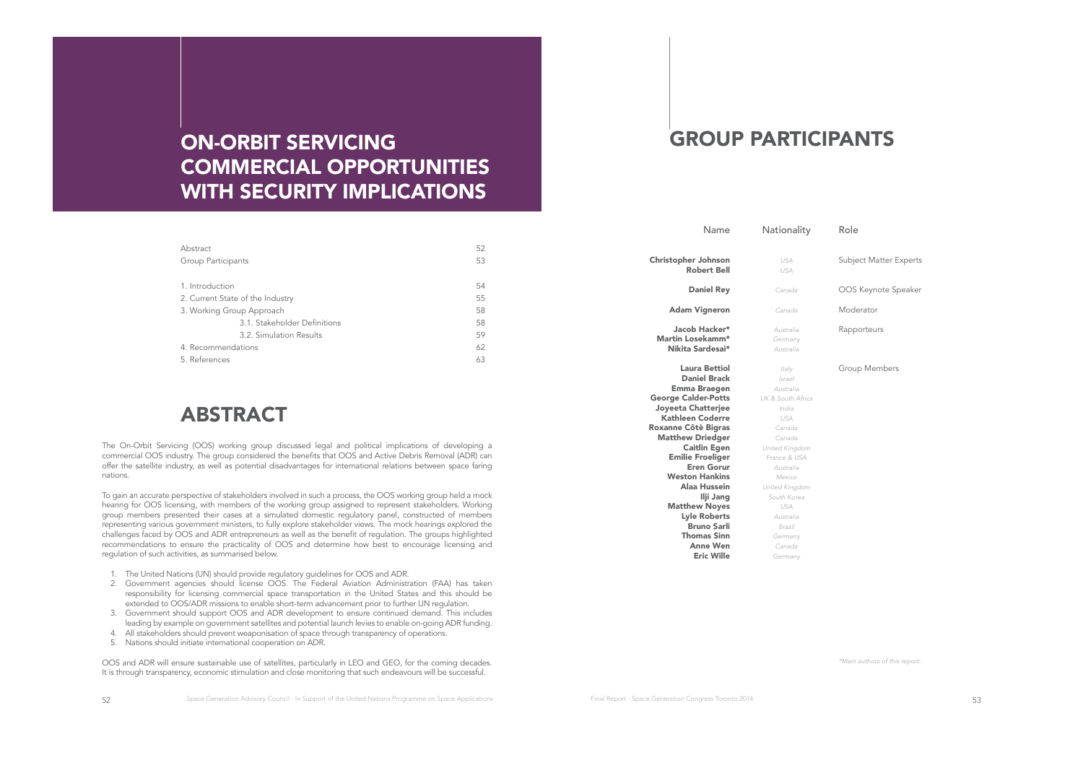# ON-ORBIT SERVICING COMMERCIAL OPPORTUNITIES WITH SECURITY IMPLICATIONS

| Abstract                         | 52 |
|----------------------------------|----|
| Group Participants               | 53 |
| 1. Introduction                  | 54 |
| 2. Current State of the Industry | 55 |
| 3. Working Group Approach        | 58 |
| 3.1. Stakeholder Definitions     | 58 |
| 3.2. Simulation Results          | 59 |
| 4. Recommendations               | 62 |
| 5. References                    | 63 |

# ABSTRACT

The On-Orbit Servicing (OOS) working group discussed legal and political implications of developing a commercial OOS industry. The group considered the benefts that OOS and Active Debris Removal (ADR) can offer the satellite industry, as well as potential disadvantages for international relations between space faring nations.

To gain an accurate perspective of stakeholders involved in such a process, the OOS working group held a mock hearing for OOS licensing, with members of the working group assigned to represent stakeholders. Working group members presented their cases at a simulated domestic regulatory panel, constructed of members representing various government ministers, to fully explore stakeholder views. The mock hearings explored the challenges faced by OOS and ADR entrepreneurs as well as the beneft of regulation. The groups highlighted recommendations to ensure the practicality of OOS and determine how best to encourage licensing and regulation of such activities, as summarised below.

- 1. The United Nations (UN) should provide regulatory guidelines for OOS and ADR.
- 2. Government agencies should license OOS. The Federal Aviation Administration (FAA) has taken responsibility for licensing commercial space transportation in the United States and this should be extended to OOS/ADR missions to enable short-term advancement prior to further UN regulation.
- 3. Government should support OOS and ADR development to ensure continued demand. This includes leading by example on government satellites and potential launch levies to enable on-going ADR funding.
- 4. All stakeholders should prevent weaponisation of space through transparency of operations.
- 5. Nations should initiate international cooperation on ADR.

OOS and ADR will ensure sustainable use of satellites, particularly in LEO and GEO, for the coming decades. It is through transparency, economic stimulation and close monitoring that such endeavours will be successful.

# GROUP PARTICIPANTS

| Name                                                                                                                                                                                                                                                                                           | Nationality                                                                                                                                                      | Role                          |
|------------------------------------------------------------------------------------------------------------------------------------------------------------------------------------------------------------------------------------------------------------------------------------------------|------------------------------------------------------------------------------------------------------------------------------------------------------------------|-------------------------------|
| Christopher Johnson<br><b>Robert Bell</b>                                                                                                                                                                                                                                                      | <b>USA</b><br>USA                                                                                                                                                | <b>Subject Matter Experts</b> |
| <b>Daniel Rey</b>                                                                                                                                                                                                                                                                              | Canada                                                                                                                                                           | OOS Keynote Speaker           |
| Adam Vigneron                                                                                                                                                                                                                                                                                  | Canada                                                                                                                                                           | Moderator                     |
| Jacob Hacker*<br>Martin Losekamm*<br>Nikita Sardesai*                                                                                                                                                                                                                                          | Australia<br>Germany<br>Australia                                                                                                                                | Rapporteurs                   |
| Laura Bettiol<br><b>Daniel Brack</b><br>Emma Braegen<br><b>George Calder-Potts</b><br>Joyeeta Chatterjee<br>Kathleen Coderre<br>Roxanne Côtè Bigras<br><b>Matthew Driedger</b><br><b>Caitlin Egen</b><br><b>Emilie Froeliger</b><br><b>Eren Gorur</b><br><b>Weston Hankins</b><br>Alaa Hussein | Italy<br>Israel<br>Australia<br>UK & South Africa<br>India<br>USA<br>Canada<br>Canada<br>United Kingdom<br>France & USA<br>Australia<br>Mexico<br>United Kingdom | Group Members                 |
| Ilji Jang<br><b>Matthew Noyes</b><br><b>Lyle Roberts</b><br><b>Bruno Sarli</b><br><b>Thomas Sinn</b><br>Anne Wen<br><b>Eric Wille</b>                                                                                                                                                          | South Korea<br>USA<br>Australia<br>Brazil<br>Germany<br>Canada<br>Germany                                                                                        |                               |

\*Main authors of this report.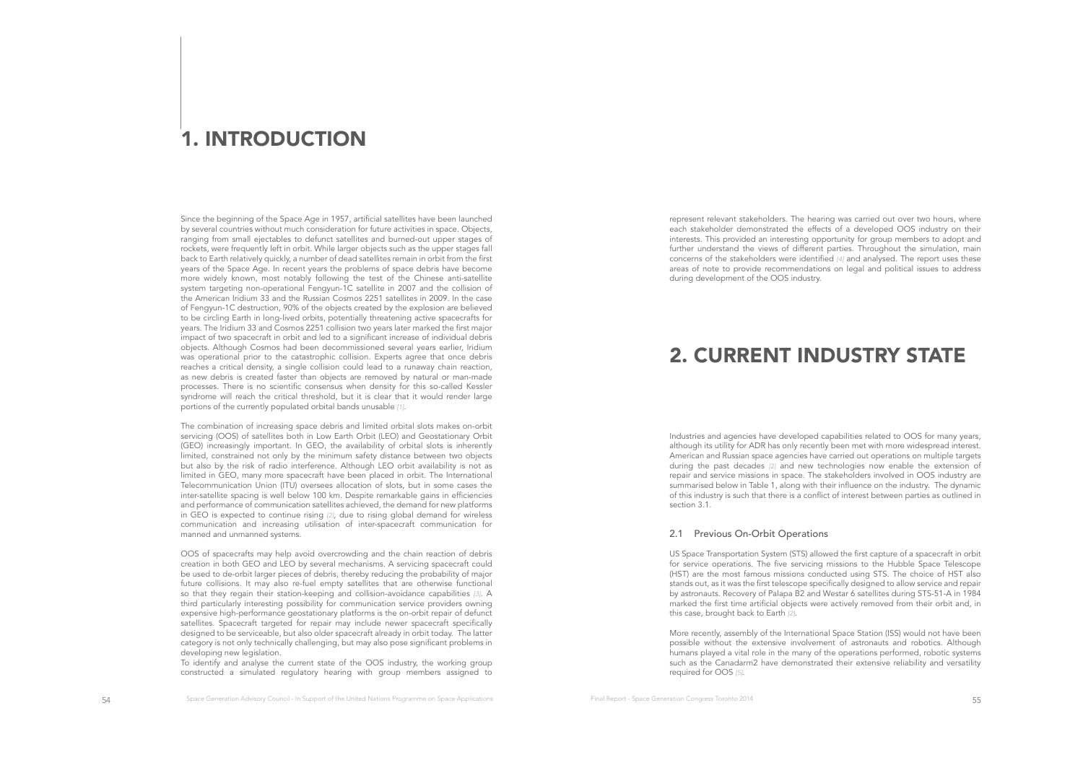# 1. INTRODUCTION

Since the beginning of the Space Age in 1957, artifcial satellites have been launched by several countries without much consideration for future activities in space. Objects, ranging from small ejectables to defunct satellites and burned-out upper stages of rockets, were frequently left in orbit. While larger objects such as the upper stages fall back to Earth relatively quickly, a number of dead satellites remain in orbit from the frst years of the Space Age. In recent years the problems of space debris have become more widely known, most notably following the test of the Chinese anti-satellite system targeting non-operational Fengyun-1C satellite in 2007 and the collision of the American Iridium 33 and the Russian Cosmos 2251 satellites in 2009. In the case of Fengyun-1C destruction, 90% of the objects created by the explosion are believed to be circling Earth in long-lived orbits, potentially threatening active spacecrafts for years. The Iridium 33 and Cosmos 2251 collision two years later marked the frst major impact of two spacecraft in orbit and led to a signifcant increase of individual debris objects. Although Cosmos had been decommissioned several years earlier, Iridium was operational prior to the catastrophic collision. Experts agree that once debris reaches a critical density, a single collision could lead to a runaway chain reaction, as new debris is created faster than objects are removed by natural or man-made processes. There is no scientifc consensus when density for this so-called Kessler syndrome will reach the critical threshold, but it is clear that it would render large portions of the currently populated orbital bands unusable [1].

The combination of increasing space debris and limited orbital slots makes on-orbit servicing (OOS) of satellites both in Low Earth Orbit (LEO) and Geostationary Orbit (GEO) increasingly important. In GEO, the availability of orbital slots is inherently limited, constrained not only by the minimum safety distance between two objects but also by the risk of radio interference. Although LEO orbit availability is not as limited in GEO, many more spacecraft have been placed in orbit. The International Telecommunication Union (ITU) oversees allocation of slots, but in some cases the inter-satellite spacing is well below 100 km. Despite remarkable gains in effciencies and performance of communication satellites achieved, the demand for new platforms in GEO is expected to continue rising [2], due to rising global demand for wireless communication and increasing utilisation of inter-spacecraft communication for manned and unmanned systems.

OOS of spacecrafts may help avoid overcrowding and the chain reaction of debris creation in both GEO and LEO by several mechanisms. A servicing spacecraft could be used to de-orbit larger pieces of debris, thereby reducing the probability of major future collisions. It may also re-fuel empty satellites that are otherwise functional so that they regain their station-keeping and collision-avoidance capabilities [3]. A third particularly interesting possibility for communication service providers owning expensive high-performance geostationary platforms is the on-orbit repair of defunct satellites. Spacecraft targeted for repair may include newer spacecraft specifcally designed to be serviceable, but also older spacecraft already in orbit today. The latter category is not only technically challenging, but may also pose signifcant problems in developing new legislation.

To identify and analyse the current state of the OOS industry, the working group constructed a simulated regulatory hearing with group members assigned to represent relevant stakeholders. The hearing was carried out over two hours, where each stakeholder demonstrated the effects of a developed OOS industry on their interests. This provided an interesting opportunity for group members to adopt and further understand the views of different parties. Throughout the simulation, main concerns of the stakeholders were identifed [4] and analysed. The report uses these areas of note to provide recommendations on legal and political issues to address during development of the OOS industry.

# 2. CURRENT INDUSTRY STATE

Industries and agencies have developed capabilities related to OOS for many years, although its utility for ADR has only recently been met with more widespread interest. American and Russian space agencies have carried out operations on multiple targets during the past decades [2] and new technologies now enable the extension of repair and service missions in space. The stakeholders involved in OOS industry are summarised below in Table 1, along with their infuence on the industry. The dynamic of this industry is such that there is a confict of interest between parties as outlined in section 3.1.

### 2.1 Previous On-Orbit Operations

US Space Transportation System (STS) allowed the frst capture of a spacecraft in orbit for service operations. The fve servicing missions to the Hubble Space Telescope (HST) are the most famous missions conducted using STS. The choice of HST also stands out, as it was the frst telescope specifcally designed to allow service and repair by astronauts. Recovery of Palapa B2 and Westar 6 satellites during STS-51-A in 1984 marked the frst time artifcial objects were actively removed from their orbit and, in this case, brought back to Earth [2].

More recently, assembly of the International Space Station (ISS) would not have been possible without the extensive involvement of astronauts and robotics. Although humans played a vital role in the many of the operations performed, robotic systems such as the Canadarm2 have demonstrated their extensive reliability and versatility required for OOS [5].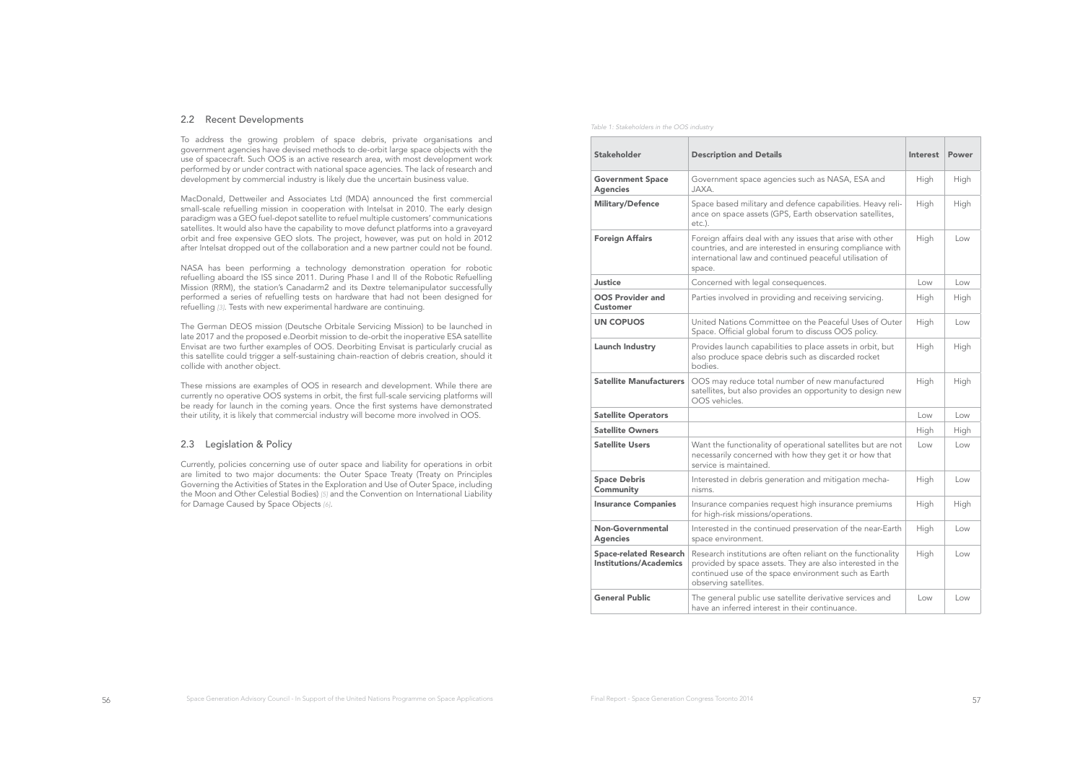### 2.2 Recent Developments

To address the growing problem of space debris, private organisations and government agencies have devised methods to de-orbit large space objects with the use of spacecraft. Such OOS is an active research area, with most development work performed by or under contract with national space agencies. The lack of research and development by commercial industry is likely due the uncertain business value.

MacDonald, Dettweiler and Associates Ltd (MDA) announced the first commercial small-scale refuelling mission in cooperation with Intelsat in 2010. The early design paradigm was a GEO fuel-depot satellite to refuel multiple customers' communications satellites. It would also have the capability to move defunct platforms into a graveyard orbit and free expensive GEO slots. The project, however, was put on hold in 2012 after Intelsat dropped out of the collaboration and a new partner could not be found.

NASA has been performing a technology demonstration operation for robotic refuelling aboard the ISS since 2011. During Phase I and II of the Robotic Refuelling Mission (RRM), the station's Canadarm2 and its Dextre telemanipulator successfully performed a series of refuelling tests on hardware that had not been designed for refuelling [3]. Tests with new experimental hardware are continuing.

The German DEOS mission (Deutsche Orbitale Servicing Mission) to be launched in late 2017 and the proposed e.Deorbit mission to de-orbit the inoperative ESA satellite Envisat are two further examples of OOS. Deorbiting Envisat is particularly crucial as this satellite could trigger a self-sustaining chain-reaction of debris creation, should it collide with another object.

These missions are examples of OOS in research and development. While there are currently no operative OOS systems in orbit, the frst full-scale servicing platforms will be ready for launch in the coming years. Once the frst systems have demonstrated their utility, it is likely that commercial industry will become more involved in OOS.

# 2.3 Legislation & Policy

Currently, policies concerning use of outer space and liability for operations in orbit are limited to two major documents: the Outer Space Treaty (Treaty on Principles Governing the Activities of States in the Exploration and Use of Outer Space, including the Moon and Other Celestial Bodies) [5] and the Convention on International Liability for Damage Caused by Space Objects [6].

Table 1: Stakeholders in the OOS industry

| Stakeholder                                                    | <b>Description and Details</b>                                                                                                                                                                             | Interest | Power |
|----------------------------------------------------------------|------------------------------------------------------------------------------------------------------------------------------------------------------------------------------------------------------------|----------|-------|
| <b>Government Space</b><br>Agencies                            | Government space agencies such as NASA, ESA and<br>JAXA.                                                                                                                                                   | High     | High  |
| <b>Military/Defence</b>                                        | Space based military and defence capabilities. Heavy reli-<br>ance on space assets (GPS, Earth observation satellites,<br>etc.).                                                                           | High     | High  |
| Foreign Affairs                                                | Foreign affairs deal with any issues that arise with other<br>countries, and are interested in ensuring compliance with<br>international law and continued peaceful utilisation of<br>space.               | High     | Low   |
| Justice                                                        | Concerned with legal consequences.                                                                                                                                                                         | Low      | Low   |
| <b>OOS Provider and</b><br>Customer                            | Parties involved in providing and receiving servicing.                                                                                                                                                     | High     | High  |
| <b>UN COPUOS</b>                                               | United Nations Committee on the Peaceful Uses of Outer<br>Space. Official global forum to discuss OOS policy.                                                                                              | High     | Low   |
| Launch Industry                                                | Provides launch capabilities to place assets in orbit, but<br>also produce space debris such as discarded rocket<br>bodies.                                                                                | High     | High  |
| <b>Satellite Manufacturers</b>                                 | OOS may reduce total number of new manufactured<br>satellites, but also provides an opportunity to design new<br>OOS vehicles.                                                                             | High     | High  |
| <b>Satellite Operators</b>                                     |                                                                                                                                                                                                            | Low      | Low   |
| <b>Satellite Owners</b>                                        |                                                                                                                                                                                                            | High     | High  |
| <b>Satellite Users</b>                                         | Want the functionality of operational satellites but are not<br>necessarily concerned with how they get it or how that<br>service is maintained.                                                           | Low      | Low   |
| Space Debris<br>Community                                      | Interested in debris generation and mitigation mecha-<br>nisms.                                                                                                                                            | High     | Low   |
| <b>Insurance Companies</b>                                     | Insurance companies request high insurance premiums<br>for high-risk missions/operations.                                                                                                                  | High     | High  |
| Non-Governmental<br><b>Agencies</b>                            | Interested in the continued preservation of the near-Earth<br>space environment.                                                                                                                           | High     | Low   |
| <b>Space-related Research</b><br><b>Institutions/Academics</b> | Research institutions are often reliant on the functionality<br>provided by space assets. They are also interested in the<br>continued use of the space environment such as Earth<br>observing satellites. | High     | Low   |
| <b>General Public</b>                                          | The general public use satellite derivative services and<br>have an inferred interest in their continuance.                                                                                                | Low      | Low   |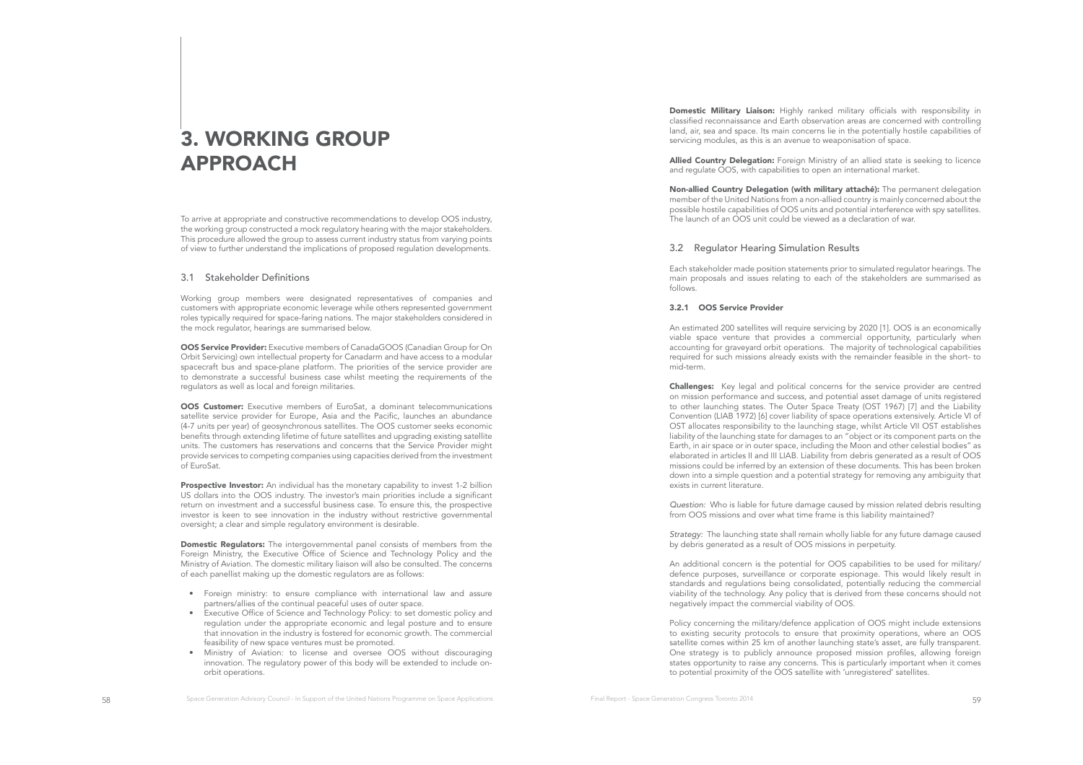# 3. WORKING GROUP APPROACH

To arrive at appropriate and constructive recommendations to develop OOS industry, the working group constructed a mock regulatory hearing with the major stakeholders. This procedure allowed the group to assess current industry status from varying points of view to further understand the implications of proposed regulation developments.

## 3.1 Stakeholder Defnitions

Working group members were designated representatives of companies and customers with appropriate economic leverage while others represented government roles typically required for space-faring nations. The major stakeholders considered in the mock regulator, hearings are summarised below.

OOS Service Provider: Executive members of CanadaGOOS (Canadian Group for On Orbit Servicing) own intellectual property for Canadarm and have access to a modular spacecraft bus and space-plane platform. The priorities of the service provider are to demonstrate a successful business case whilst meeting the requirements of the regulators as well as local and foreign militaries.

OOS Customer: Executive members of EuroSat, a dominant telecommunications satellite service provider for Europe, Asia and the Pacifc, launches an abundance (4-7 units per year) of geosynchronous satellites. The OOS customer seeks economic benefts through extending lifetime of future satellites and upgrading existing satellite units. The customers has reservations and concerns that the Service Provider might provide services to competing companies using capacities derived from the investment of EuroSat.

Prospective Investor: An individual has the monetary capability to invest 1-2 billion US dollars into the OOS industry. The investor's main priorities include a signifcant return on investment and a successful business case. To ensure this, the prospective investor is keen to see innovation in the industry without restrictive governmental oversight; a clear and simple regulatory environment is desirable.

Domestic Regulators: The intergovernmental panel consists of members from the Foreign Ministry, the Executive Office of Science and Technology Policy and the Ministry of Aviation. The domestic military liaison will also be consulted. The concerns of each panellist making up the domestic regulators are as follows:

- Foreign ministry: to ensure compliance with international law and assure partners/allies of the continual peaceful uses of outer space.
- Executive Office of Science and Technology Policy: to set domestic policy and regulation under the appropriate economic and legal posture and to ensure that innovation in the industry is fostered for economic growth. The commercial feasibility of new space ventures must be promoted.
- Ministry of Aviation: to license and oversee OOS without discouraging innovation. The regulatory power of this body will be extended to include onorbit operations.

Domestic Military Liaison: Highly ranked military officials with responsibility in classifed reconnaissance and Earth observation areas are concerned with controlling land, air, sea and space. Its main concerns lie in the potentially hostile capabilities of servicing modules, as this is an avenue to weaponisation of space.

Allied Country Delegation: Foreign Ministry of an allied state is seeking to licence and regulate OOS, with capabilities to open an international market.

Non-allied Country Delegation (with military attaché): The permanent delegation member of the United Nations from a non-allied country is mainly concerned about the possible hostile capabilities of OOS units and potential interference with spy satellites. The launch of an OOS unit could be viewed as a declaration of war.

## 3.2 Regulator Hearing Simulation Results

Each stakeholder made position statements prior to simulated regulator hearings. The main proposals and issues relating to each of the stakeholders are summarised as follows.

### 3.2.1 OOS Service Provider

An estimated 200 satellites will require servicing by 2020 [1]. OOS is an economically viable space venture that provides a commercial opportunity, particularly when accounting for graveyard orbit operations. The majority of technological capabilities required for such missions already exists with the remainder feasible in the short- to mid-term.

**Challenges:** Key legal and political concerns for the service provider are centred on mission performance and success, and potential asset damage of units registered to other launching states. The Outer Space Treaty (OST 1967) [7] and the Liability Convention (LIAB 1972) [6] cover liability of space operations extensively. Article VI of OST allocates responsibility to the launching stage, whilst Article VII OST establishes liability of the launching state for damages to an "object or its component parts on the Earth, in air space or in outer space, including the Moon and other celestial bodies" as elaborated in articles II and III LIAB. Liability from debris generated as a result of OOS missions could be inferred by an extension of these documents. This has been broken down into a simple question and a potential strategy for removing any ambiguity that exists in current literature.

Question: Who is liable for future damage caused by mission related debris resulting from OOS missions and over what time frame is this liability maintained?

Strategy: The launching state shall remain wholly liable for any future damage caused by debris generated as a result of OOS missions in perpetuity.

An additional concern is the potential for OOS capabilities to be used for military/ defence purposes, surveillance or corporate espionage. This would likely result in standards and regulations being consolidated, potentially reducing the commercial viability of the technology. Any policy that is derived from these concerns should not negatively impact the commercial viability of OOS.

Policy concerning the military/defence application of OOS might include extensions to existing security protocols to ensure that proximity operations, where an OOS satellite comes within 25 km of another launching state's asset, are fully transparent. One strategy is to publicly announce proposed mission profles, allowing foreign states opportunity to raise any concerns. This is particularly important when it comes to potential proximity of the OOS satellite with 'unregistered' satellites.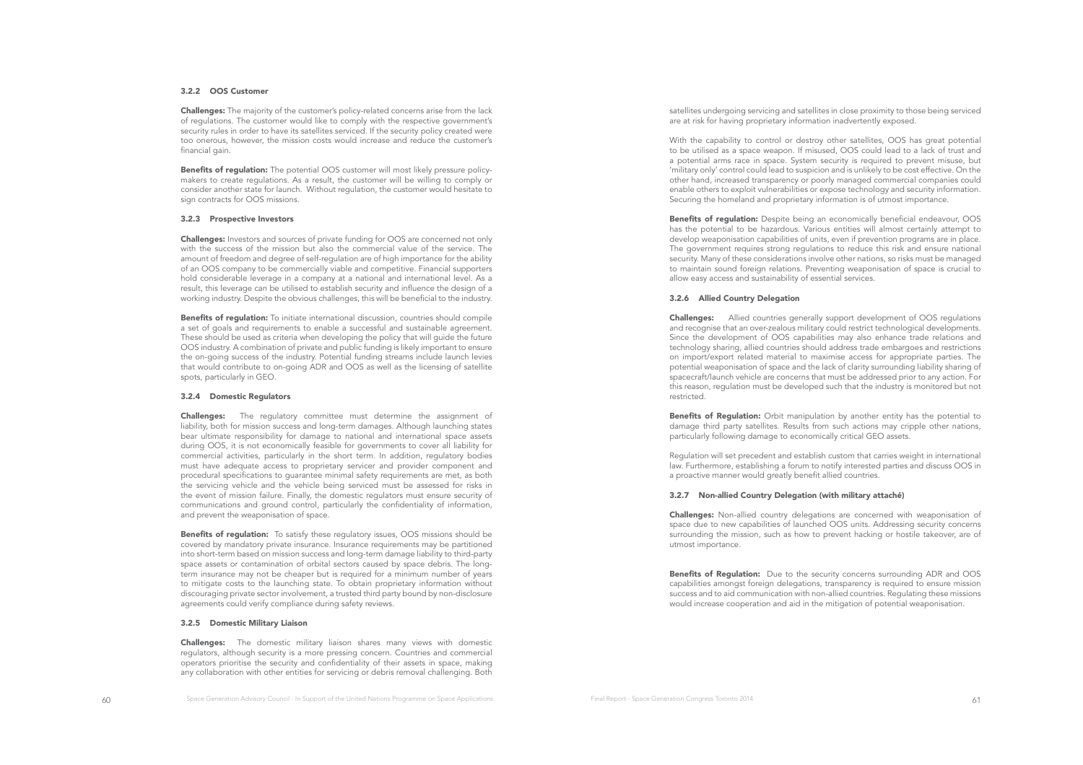### 3.2.2 OOS Customer

Challenges: The majority of the customer's policy-related concerns arise from the lack of regulations. The customer would like to comply with the respective government's security rules in order to have its satellites serviced. If the security policy created were too onerous, however, the mission costs would increase and reduce the customer's financial gain.

Benefits of regulation: The potential OOS customer will most likely pressure policymakers to create regulations. As a result, the customer will be willing to comply or consider another state for launch. Without regulation, the customer would hesitate to sign contracts for OOS missions.

### 3.2.3 Prospective Investors

Challenges: Investors and sources of private funding for OOS are concerned not only with the success of the mission but also the commercial value of the service. The amount of freedom and degree of self-regulation are of high importance for the ability of an OOS company to be commercially viable and competitive. Financial supporters hold considerable leverage in a company at a national and international level. As a result, this leverage can be utilised to establish security and infuence the design of a working industry. Despite the obvious challenges, this will be benefcial to the industry.

**Benefits of regulation:** To initiate international discussion, countries should compile a set of goals and requirements to enable a successful and sustainable agreement. These should be used as criteria when developing the policy that will guide the future OOS industry. A combination of private and public funding is likely important to ensure the on-going success of the industry. Potential funding streams include launch levies that would contribute to on-going ADR and OOS as well as the licensing of satellite spots, particularly in GEO.

### 3.2.4 Domestic Regulators

Challenges: The regulatory committee must determine the assignment of liability, both for mission success and long-term damages. Although launching states bear ultimate responsibility for damage to national and international space assets during OOS, it is not economically feasible for governments to cover all liability for commercial activities, particularly in the short term. In addition, regulatory bodies must have adequate access to proprietary servicer and provider component and procedural specifcations to guarantee minimal safety requirements are met, as both the servicing vehicle and the vehicle being serviced must be assessed for risks in the event of mission failure. Finally, the domestic regulators must ensure security of communications and ground control, particularly the confidentiality of information, and prevent the weaponisation of space.

**Benefits of regulation:** To satisfy these regulatory issues, OOS missions should be covered by mandatory private insurance. Insurance requirements may be partitioned into short-term based on mission success and long-term damage liability to third-party space assets or contamination of orbital sectors caused by space debris. The longterm insurance may not be cheaper but is required for a minimum number of years to mitigate costs to the launching state. To obtain proprietary information without discouraging private sector involvement, a trusted third party bound by non-disclosure agreements could verify compliance during safety reviews.

### 3.2.5 Domestic Military Liaison

Challenges: The domestic military liaison shares many views with domestic regulators, although security is a more pressing concern. Countries and commercial operators prioritise the security and confdentiality of their assets in space, making any collaboration with other entities for servicing or debris removal challenging. Both

satellites undergoing servicing and satellites in close proximity to those being serviced are at risk for having proprietary information inadvertently exposed.

With the capability to control or destroy other satellites, OOS has great potential to be utilised as a space weapon. If misused, OOS could lead to a lack of trust and a potential arms race in space. System security is required to prevent misuse, but 'military only' control could lead to suspicion and is unlikely to be cost effective. On the other hand, increased transparency or poorly managed commercial companies could enable others to exploit vulnerabilities or expose technology and security information. Securing the homeland and proprietary information is of utmost importance.

Benefits of regulation: Despite being an economically beneficial endeavour, OOS has the potential to be hazardous. Various entities will almost certainly attempt to develop weaponisation capabilities of units, even if prevention programs are in place. The government requires strong regulations to reduce this risk and ensure national security. Many of these considerations involve other nations, so risks must be managed to maintain sound foreign relations. Preventing weaponisation of space is crucial to allow easy access and sustainability of essential services.

#### 3.2.6 Allied Country Delegation

Challenges: Allied countries generally support development of OOS regulations and recognise that an over-zealous military could restrict technological developments. Since the development of OOS capabilities may also enhance trade relations and technology sharing, allied countries should address trade embargoes and restrictions on import/export related material to maximise access for appropriate parties. The potential weaponisation of space and the lack of clarity surrounding liability sharing of spacecraft/launch vehicle are concerns that must be addressed prior to any action. For this reason, regulation must be developed such that the industry is monitored but not restricted.

**Benefits of Regulation:** Orbit manipulation by another entity has the potential to damage third party satellites. Results from such actions may cripple other nations, particularly following damage to economically critical GEO assets.

Regulation will set precedent and establish custom that carries weight in international law. Furthermore, establishing a forum to notify interested parties and discuss OOS in a proactive manner would greatly beneft allied countries.

### 3.2.7 Non-allied Country Delegation (with military attaché)

Challenges: Non-allied country delegations are concerned with weaponisation of space due to new capabilities of launched OOS units. Addressing security concerns surrounding the mission, such as how to prevent hacking or hostile takeover, are of utmost importance.

**Benefits of Regulation:** Due to the security concerns surrounding ADR and OOS capabilities amongst foreign delegations, transparency is required to ensure mission success and to aid communication with non-allied countries. Regulating these missions would increase cooperation and aid in the mitigation of potential weaponisation.